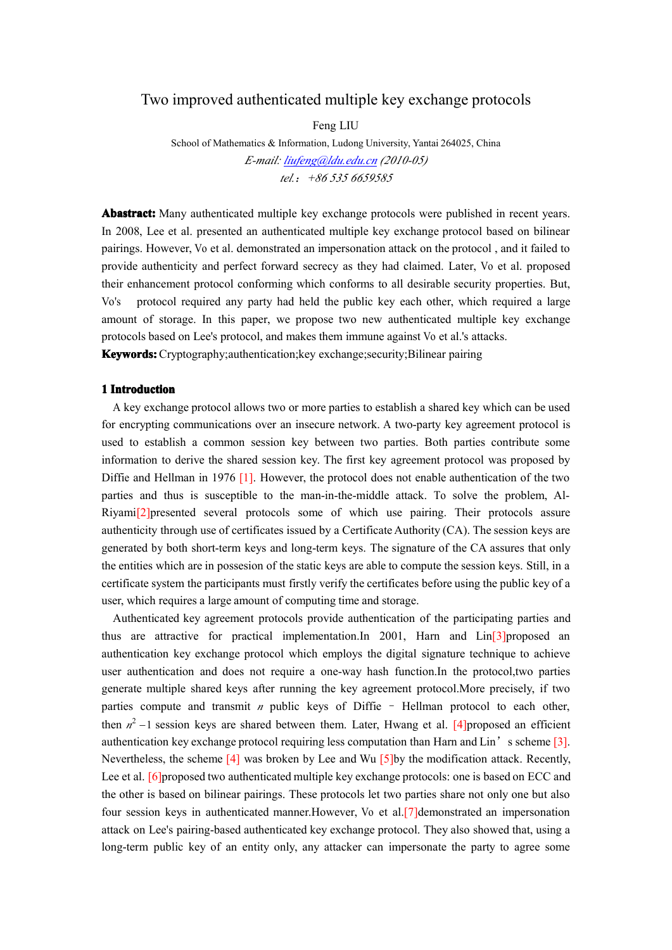# Two improved authenticated multiple key exchange protocols

Feng LIU

School of Mathematics & Information, Ludong University, Yantai 264025, China *E-mail: [liufeng@ldu.edu.cn](mailto:liufeng23490@126.com) (2010-05) tel.*:*+86 535 6659585*

**Abastract: Abastract:** Many authenticated multiple key exchange protocols were published in recent years. In 2008, Leeet al. presented an authenticated multiple key exchange protocol based on bilinear pairings. However, Vo et al. demonstrated an impersonation attack on the protocol , and it failed to provide authenticity and perfect forward secrecy as they had claimed. Later, Vo et al. proposed their enhancement protocol conforming which conforms to all desirable security properties. But, Vo's protocol required any party had held the public key each other, which required <sup>a</sup> large amount of storage. In this paper, we propose two new authenticated multiple key exchange protocols based on Lee's protocol, and makes them immune against Vo et al.'s attacks. **Keywords: Keywords: Keywords: Keywords:**Cryptography;authentication;key exchange;security;Bilinear pairing

### **1 Introduction Introduction**

A key exchange protocol allows two or more parties to establish a shared key which can be used for encrypting communications over an insecure network. A two-party key agreemen<sup>t</sup> protocol is used to establish <sup>a</sup> common session key between two parties. Both parties contribute some information to derive the shared session key. The first key agreemen<sup>t</sup> protocol was proposed by Diffie and Hellman in 1976 [1]. However, the protocol does not enable authentication of the two parties and thus is susceptible to the man-in-the-middle attack. To solve the problem, Al-Riyami[2]presented several protocols some of which use pairing. Their protocols assure authenticity through use of certificates issued by a Certificate Authority (CA). The session keys are generated by both short-term keys and long-term keys. The signature of the CA assures that only the entities which are in possesion of the static keys are able to compute the session keys. Still, in <sup>a</sup> certificate system the participants must firstly verify the certificates before using the public key of <sup>a</sup> user, which requires <sup>a</sup> large amount of computing time and storage.

Authenticated key agreemen<sup>t</sup> protocols provide authentication of the participating parties and thus are attractive for practical implementation. In 2001, Harn and  $\text{Lin}[3]$  proposed an authentication key exchange protocol which employs the digital signature technique to achieve user authentication and does not require <sup>a</sup> one-way hash function.In the protocol,two parties generate multiple shared keys after running the key agreemen<sup>t</sup> protocol.More precisely, if two parties compute and transmit *<sup>n</sup>* public keys of Diffie – Hellman protocol to each other, then  $n^2 - 1$  session keys are shared between them. Later, Hwang et al. [4]proposed an efficient authentication key exchange protocol requiring less computation than Harn and Lin'<sup>s</sup> scheme [3]. Nevertheless, the scheme  $\lceil 4 \rceil$  was broken by Lee and Wu  $\lceil 5 \rceil$ by the modification attack. Recently, Lee et al. [6] proposed two authenticated multiple key exchange protocols: one is based on ECC and the other is based on bilinear pairings. These protocols let two parties share not onlyone but also four session keys in authenticated manner.However, Vo et al.[7]demonstrated an impersonation attack on Lee's pairing-based authenticated key exchange protocol. Theyalso showed that, using <sup>a</sup> long-term public key of an entity only, any attacker can impersonate the party to agree some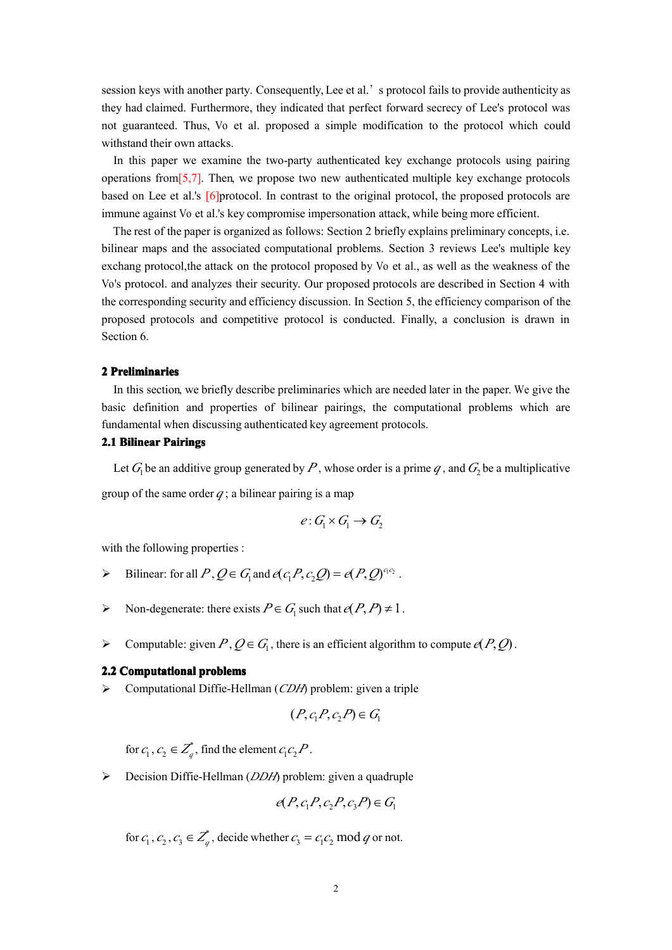session keys with another party. Consequently, Lee et al.' s protocol fails to provide authenticity as they had claimed. Furthermore, they indicated that perfect forward secrecy of Lee's protocol was not guaranteed. Thus, Vo et al. proposed <sup>a</sup> simple modification to the protocol which could withstand their own attacks.

In this paper we examine the two-party authenticated key exchange protocols using pairing operations from  $[5,7]$ . Then, we propose two new authenticated multiple key exchange protocols based on Lee et al.'s [6]protocol. In contrast to the original protocol, the proposed protocols are immune against Vo et al.'s key compromise impersonation attack, while being more efficient.

The rest of the paper is organized as follows: Section 2 briefly explains preliminary concepts, i.e. bilinear maps and the associated computational problems. Section 3 reviews Lee's multiple key exchang protocol,the attack on the protocol proposed by Vo et al., as well as the weakness of the Vo's protocol. and analyzes their security. Our proposed protocols are described in Section 4 with the corresponding security and efficiency discussion. In Section 5, the efficiency comparison of the proposed protocols and competitive protocol is conducted. Finally, <sup>a</sup> conclusion is drawn in Section 6.

### **2 Preliminaries Preliminaries**

In this section, we briefly describe preliminaries which are needed later in the paper. We give the basic definition and properties of bilinear pairings, the computational problems which are fundamental when discussing authenticated key agreemen<sup>t</sup> protocols.

# **2.1 Bilinear Bilinear Pairings**

Let  $G_1$  be an additive group generated by P, whose order is a prime  $q$ , and  $G_2$  be a multiplicative group of the same order  $q$ ; a bilinear pairing is a map

$$
e: G_1 \times G_1 \to G_2
$$

with the following properties :

- 
- *Bilinear:* for all  $P$ ,  $Q \in G_1$  and  $e(c_1 P, c_2 Q) = e(P, Q)^{c_1 c_2}$ .<br> *Non-degenerate:* there exists  $P \in G_1$  such that  $e(P, P) \neq 1$ .
- → Bilinear: for all *P*,  $Q \in G_1$  and  $e(c_1 P, c_2 Q) = e(P, Q)^{c_1 c_2}$ .<br>
→ Non-degenerate: there exists  $P \in G_1$  such that  $e(P, P) \neq 1$ <br>
→ Computable: given  $P, Q \in G_1$ , there is an efficient algorit Bilinear: for all  $P, Q \in G_1$  and  $e(c_1 P, c_2 Q) = e(P, Q)^{c_1 c_2}$ .<br>
> Non-degenerate: there exists  $P \in G_1$  such that  $e(P, P) \neq 1$ .<br>
> Computable: given  $P, Q \in G_1$ , there is an efficient algorith<br>
2.2 Computational problems<br>
> → Computable: given *P*,  $Q \in G_1$ , there is an efficient algorithm to compute  $e(P, Q)$ .<br> **2.2 Computational problems**<br>
→ Computational Diffie-Hellman (*CDH*) problem: given a triple<br>  $(P, c_1 P, c_2 P) \in G_1$

# **2.2 Computational problems**

� Computational Diffie-Hellman (*CDH*) problem: given <sup>a</sup> triple

$$
(P, c_1 P, c_2 P) \in G
$$

for  $c_1, c_2 \in \overline{Z}_a^*$ , find the element  $c_1 c_2 P$ .

 $(P, c_1 P, c_2 P) \in G_1$ <br>
the element  $c_1 c_2 P$ .<br>
Ilman (*DDH*) problem: given a qua for  $c_1$ ,  $c_2 \in Z_q^*$ , find the element  $c_1c_2P$ <br>
► Decision Diffie-Hellman (*DDH*) probl<br>  $e(P, c_1)$ <br>
for  $c \in C \subset Z^*$  decide whether  $c_1$ � Decision Diffie-Hellman (*DDH*) problem: given <sup>a</sup> quadruple

$$
e(P, c_1P, c_2P, c_3P) \in G_1
$$

 $e(P, c_1P, c_2P, c_3P) \in G_1$ <br>  $Z_q^*$ , decide whether  $c_3 = c_1c_2 \mod q$  or not for  $c_1, c_2, c_3 \in \mathbb{Z}^*$ , decide whether  $c_3 = c_1 c_2 \mod q$  or not. for  $c_1$ ,  $c_2$ ,  $c_3 \in \mathbb{Z}_q^*$ , decide whether  $c_3 = c_1 c_2 \mod q$ <br>2 le whether  $c_3 = c_1 c_2$  mod<br>2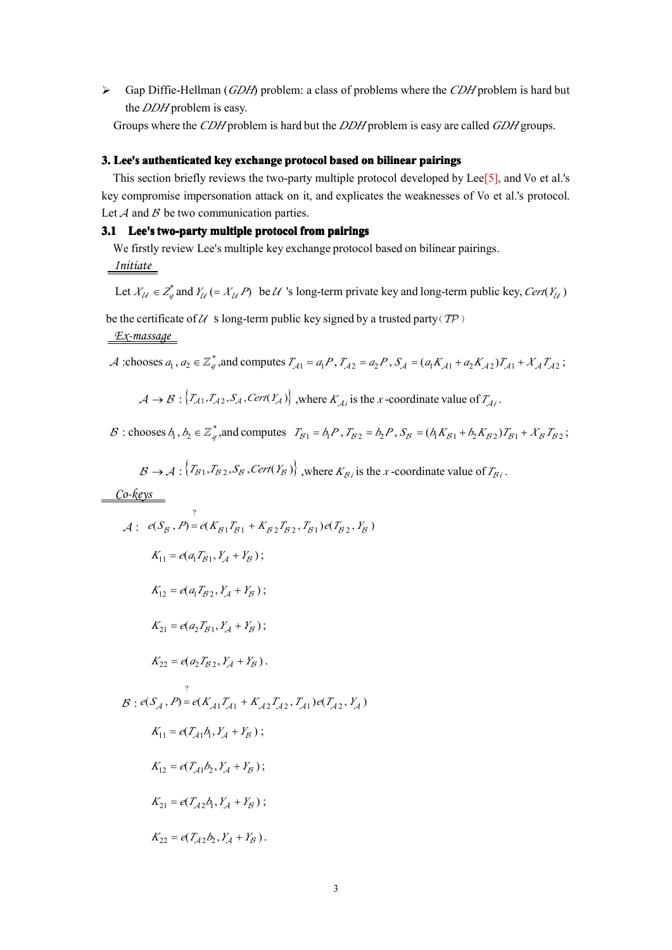� Gap Diffie-Hellman (*GDH*) problem: <sup>a</sup> class of problems where the *CDH* problem is hard but the *DDH* problem is easy.

Groups where the *CDH* problem is hard but the *DDH* problem is easy are called *GDH* groups.

# 3. Lee's authenticated key exchange protocol based on bilinear pairings

This section briefly reviews the two-party multiple protocol developed by Lee<sup>[5]</sup>, and Vo et al.'s key compromise impersonation attack on it, and explicates the weaknesses of Vo et al.'s protocol. Let  $A$  and  $B$  be two communication parties.

## 3.1 Lee's two-party multiple protocol from pairings

We firstly review Lee's multiple key exchange protocol based on bilinear pairings. *Initiate*

Let  $X_{\mathcal{U}} \in Z_q^*$  and  $Y_{\mathcal{U}} \in X_{\mathcal{U}}$  *P*) be  $\mathcal{U}$  's long-term private key and long-term public key, Cert( $Y_{\mathcal{U}}$ ) be the certificate of  $U$  *s* long-term public key signed by a trusted party( $TP$ )

## *Ex-massage*

$$
\mathcal{A}:\text{chooses } a_1, a_2 \in \mathbb{Z}_q^* \text{, and computes } T_{\mathcal{A}1} = a_1 P, T_{\mathcal{A}2} = a_2 P, S_{\mathcal{A}} = (a_1 K_{\mathcal{A}1} + a_2 K_{\mathcal{A}2}) T_{\mathcal{A}1} + X_{\mathcal{A}} T_{\mathcal{A}2};
$$
\n
$$
\mathcal{A} \to \mathcal{B}: \{T_{\mathcal{A}1}, T_{\mathcal{A}2}, S_{\mathcal{A}}, \text{Cert}(Y_{\mathcal{A}})\}, \text{where } K_{\mathcal{A}_i} \text{ is the } x \text{-coordinate value of } T_{\mathcal{A}_i}.
$$
\n
$$
\mathcal{B}: \text{chooses } b_1, b_2 \in \mathbb{Z}_q^* \text{, and computes } T_{\mathcal{B}1} = b_1 P, T_{\mathcal{B}2} = b_2 P, S_{\mathcal{B}} = (b_1 K_{\mathcal{B}1} + b_2 K_{\mathcal{B}2}) T_{\mathcal{B}1} + X_{\mathcal{B}} T_{\mathcal{B}2}.
$$

 $A \rightarrow B : \{T_{A1}, T_{A2}, S_A, \text{Cert}(Y_A)\}\)$ , where  $K_{Ai}$  is the *x*-coordinate value of  $T_{Ai}$ .<br>  $B : \text{chooses } b_1, b_2 \in \mathbb{Z}_q^*$ , and computes  $T_{B1} = b_1 P$ ,  $T_{B2} = b_2 P$ ,  $S_B = (b_1 K_{B1} + b_2 K_{B2})$ <br>  $B \rightarrow A : \{T_{B1}, T_{B2}, S_B, \text{Cert}(Y_B)\}\)$ , wher  $B:$  chooses  $b_1, b_2 \in \mathbb{Z}_q^*$ , and computes  $T_{B1} = b_1 P$ ,  $T_{B2} = b_2 P$ ,  $S_B = (b_1 K_{B1} + b_2 K_{B2}) T_{B1} + X_B T_{B2}$ . ooses  $b_1$ ,  $b_2 \in \mathbb{Z}_q^*$ , and computes  $T_{B1} = b_1 P$ ,  $T_{B2} = b_2 P$ ,  $S_B = (b_1 K_{B1} + b_2 K_{B2})T_{B1} + X_B T_{B2}$ <br>  $B \rightarrow A : {T_{B1}, T_{B2}, S_B, \text{Cert}(Y_B)}$ , where  $K_{B_i}$  is the *x*-coordinate value of  $T_{B_i}$ .

$$
\mathcal{B} \to \mathcal{A}: \langle T_{\mathcal{B}1}, T_{\mathcal{B}2}, S_{\mathcal{B}}, \text{Cert}(Y_{\mathcal{B}}) \rangle
$$
, where  $K_{\mathcal{B}i}$  is the x-coordinate value of  $T_{\mathcal{B}i}$ .

*Co-keys*

$$
B \rightarrow A: \{T_{B1}, T_{B2}, S_B, Cerr(Y_B)\}, \text{where } K_{Bi} \text{ is the } x \text{-coordinate value of } T_{Bi}
$$
\n
$$
\frac{\text{Co-}keys}{\text{A:}} \quad e(S_B, P) = e(K_{B1}T_{B1} + K_{B2}T_{B2}, T_{B1})e(T_{B2}, Y_B)
$$
\n
$$
K_{11} = e(a_1T_{B1}, Y_A + Y_B);
$$
\n
$$
K_{12} = e(a_1T_{B2}, Y_A + Y_B);
$$
\n
$$
K_{21} = e(a_2T_{B1}, Y_A + Y_B);
$$
\n
$$
K_{22} = e(a_2T_{B2}, Y_A + Y_B).
$$
\n
$$
B: e(S_A, P) = e(K_{A1}T_{A1} + K_{A2}T_{A2}, T_{A1})e(T_{A2}, Y_A)
$$
\n
$$
K_{11} = e(T_{A1}A, Y_A + Y_B);
$$
\n
$$
K_{12} = e(T_{A1}b_1, Y_A + Y_B);
$$
\n
$$
K_{21} = e(T_{A2}A, Y_A + Y_B);
$$
\n
$$
K_{22} = e(T_{A2}A, Y_A + Y_B);
$$
\n
$$
K_{23} = e(T_{A2}b_1, Y_A + Y_B);
$$
\n
$$
K_{34} = e(T_{A3}b_1, Y_A + Y_B);
$$
\n
$$
K_{35} = e(T_{A2}b_1, Y_A + Y_B).
$$

$$
K_{21} = e(T_{A2}b_1, Y_A + Y_B);
$$
  

$$
K_{22} = e(T_{A2}b_2, Y_A + Y_B).
$$

$$
K_{22}=e(T_{\mathcal{A}2}b_2,Y_{\mathcal{A}}+Y_{\mathcal{B}}).
$$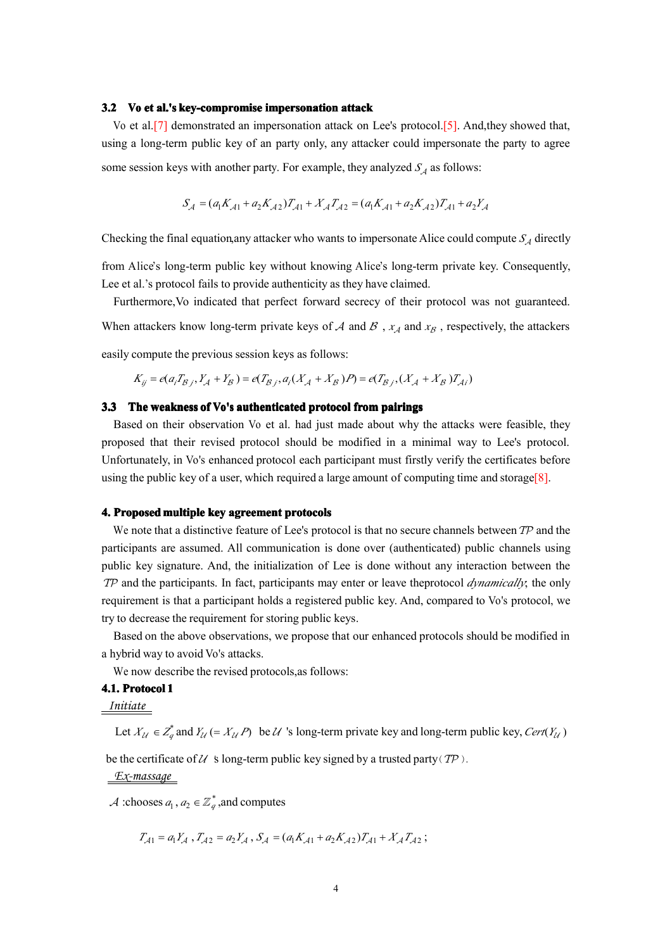#### **3.2 Vo et al.'s key-compromise impersonation impersonationattack**

Vo et al.[7] demonstrated an impersonation attack on Lee's protocol.[5]. And,they showed that, using <sup>a</sup> long-term public key of an party only, any attacker could impersonate the party to agree some session keys with another party. For example, they analyzed  $S_A$  as follows:

$$
S_{A} = (a_1 K_{A1} + a_2 K_{A2})T_{A1} + X_A T_{A2} = (a_1 K_{A1} + a_2 K_{A2})T_{A1} + a_2 Y_A
$$

Checking the final equation,any attacker who wants to impersonate Alice could compute  $S_A$  directly

 $S_A = (a_1K_{A1} + a_2K_{A2})T_{A1} + X_A T_{A2} = (a_1K_{A1} + a_2K_{A2})T_{A1} + a_2Y_A$ <br>g the final equation, any attacker who wants to impersonate Alice could conce's long-term public key without knowing Alice's long-term private ke from Alice's long-term public key without knowing Alice's long-term private key. Consequently, Lee et al.'s protocol fails to provide authenticity as they have claimed.

Furthermore,Vo indicated that perfect forward secrecy of their protocol was not guaranteed.

When attackers know long-term private keys of  $A$  and  $B$ ,  $x_A$  and  $x_B$ , respectively, the attackers

easily compute the previous session keys as follows:

$$
K_{ij} = e(a_i T_{\beta j}, Y_{\mathcal{A}} + Y_{\mathcal{B}}) = e(T_{\beta j}, a_i (X_{\mathcal{A}} + X_{\mathcal{B}}) P) = e(T_{\beta j}, (X_{\mathcal{A}} + X_{\mathcal{B}}) T_{\mathcal{A}})
$$

## 3.3 The weakness of Vo's authenticated protocol from pairings

 $K_{ij} = e(a_i T_{\beta j}, Y_A + Y_B) = e(T_{\beta j}, a_i (X_A + X_B)P) = e(T_{\beta j}, (X_A + X_B)T_{Ai})$ <br>3.3 The weakness of Vo's authenticated protocol from pairings<br>Based on their observation Vo et al. had just made about why the attacks<br>proposed that their revis Based on their observation Vo et al. had just made about why the attacks were feasible, they proposed that their revised protocol should be modified in <sup>a</sup> minimal way to Lee's protocol. Unfortunately, in Vo's enhanced protocol each participant must firstly verify the certificates before using the public key of a user, which required a large amount of computing time and storage[8].

## **4.** Proposed multiple key agreement protocols

We note that a distinctive feature of Lee's protocol is that no secure channels between TP and the participants are assumed. All communication is done over (authenticated) public channels using public key signature. And, the initialization of Lee is done without any interaction between the TP and the participants. In fact, participants may enter or leave theprotocol *dynamically*; the only requirement is that <sup>a</sup> participant holds <sup>a</sup> registered public key. And, compared to Vo's protocol, we try to decrease the requirement for storing public keys.

Based on the above observations, we propose that our enhanced protocols should be modified in <sup>a</sup> hybrid way to avoid Vo's attacks.

We now describe the revised protocols,as follows:

# **4.1. Protocol Protocol1**

# *Initiate*

Let  $X_{\mathcal{U}} \in Z_q^*$  and  $Y_{\mathcal{U}} \in X_{\mathcal{U}}$  *P*) be  $\mathcal{U}$  's long-term private key and long-term public key, Cert( $Y_{\mathcal{U}}$ )

be the certificate of  $U$  *'s* long-term public key signed by a trusted party( $TP$ ).

# *Ex-massage*

A :chooses  $a_1, a_2 \in \mathbb{Z}_q^*$ , and computes

$$
T_{A1} = a_1 Y_A, T_{A2} = a_2 Y_A, S_A = (a_1 K_{A1} + a_2 K_{A2}) T_{A1} + X_A T_{A2};
$$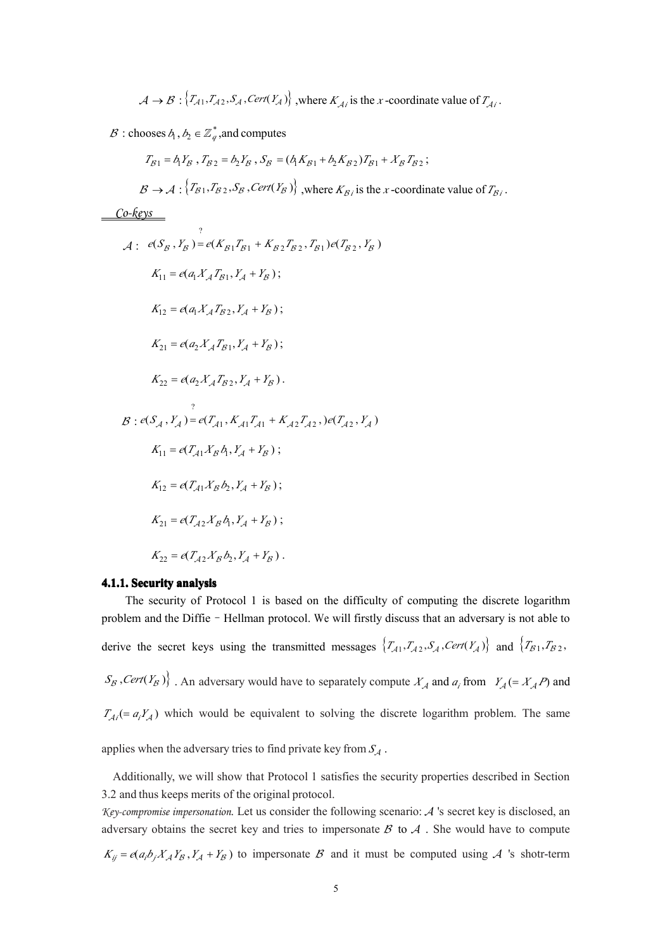$$
\mathcal{A} \to \mathcal{B} : \{ T_{\mathcal{A}1}, T_{\mathcal{A}2}, S_{\mathcal{A}}, \text{Cert}(Y_{\mathcal{A}}) \}, \text{ where } K_{\mathcal{A}i} \text{ is the } x \text{-coordinate value of } T_{\mathcal{A}i}.
$$

 $\mathcal{B}$  : chooses  $b_1, b_2 \in \mathbb{Z}_q^*$  , and computes

$$
A \rightarrow B: \{T_{A1}, T_{A2}, S_A, \text{Cer}(Y_A)\}, \text{where } K_{A1} \text{ is the } x \text{-coordinate value of } T_{A1}.
$$
  
\n
$$
B: \text{chooses } A_1, b_2 \in \mathbb{Z}_q^*, \text{and computes}
$$
  
\n
$$
T_{B1} = A_1 Y_{B1}, T_{B2} = b_2 Y_{B1}, S_B = (A_1 K_{B1} + b_2 K_{B2}) T_{B1} + X_B T_{B2};
$$
  
\n
$$
B \rightarrow A: \{T_{B1}, T_{B2}, S_B, \text{Cer}(Y_B)\}, \text{where } K_{B1} \text{ is the } x \text{-coordinate value of } T_{B1}.
$$
  
\n
$$
\underbrace{\text{Co-keys}}_{A: \text{e}(S_B, Y_B) = e(K_{B1} T_{B1} + K_{B2} T_{B2}, T_{B1}) e(T_{B2}, Y_B)}_{K_{11} = e(\alpha_1 X_A T_{B1}, Y_A + Y_B);}
$$
  
\n
$$
K_{12} = e(\alpha_1 X_A T_{B2}, Y_A + Y_B);
$$
  
\n
$$
K_{21} = e(\alpha_2 X_A T_{B1}, Y_A + Y_B);
$$
  
\n
$$
K_{22} = e(\alpha_2 X_A T_{B2}, Y_A + Y_B).
$$
  
\n
$$
B: e(S_A, Y_A) = e(T_{A1}, K_{A1} T_{A1} + K_{A2} T_{A2}) e(T_{A2}, Y_A)
$$
  
\n
$$
K_{11} = e(T_{A1} X_B A_1, Y_A + Y_B);
$$
  
\n
$$
K_{12} = e(T_{A1} X_B A_1, Y_A + Y_B);
$$
  
\n
$$
K_{13} = e(T_{A2} X_B A_1, Y_A + Y_B);
$$
  
\n
$$
K_{24} = e(T_{A2} X_B A_1, Y_A + Y_B);
$$
  
\n
$$
K_{35} = e(T_{A2} X_B A_2, Y_A + Y_B).
$$
  
\n4.1.1. Security analysis

### **4.1.1. Security analysis**

 $K_{22} = e(T_{A2}X_Bb_2, Y_A + Y_B)$ .<br>**4.1.1. Security analysis**<br>The security of Protocol 1 is based on the difficulty of computing the discrete logarithm<br>problem and the Diffie - Hellman protocol. We will firstly discuss that an a The security of Protocol 1 is based on the difficulty of computing the discrete logarithm derive the secret keys using the transmitted messages  $\{T_{A1}, T_{A2}, S_A$ , Cert( $Y_A$ ) and  $\{T_{B1}, T_{B2}, S_B$ , Cert( $Y_B$ )  $\}$ . An adversary would have to separately compute  $X_A$  and  $a_i$  from  $Y_A (= X_A P)$  and  $T_{A_i} (= a_i Y_A)$  which  $S_B$ , *Cert*( $Y_B$ )}. An adversary would have to separately compute  $X_A$  and  $a_i$  from  $Y_A (= X_A P)$  and  $T_{Ai} (= a_i Y_A)$  which would be equivalent to solving the discrete logarithm problem. The same applies when the adversary tri  $T_{Ai} = a_i Y_A$ ) which would be equivalent to solving the discrete logarithm problem. The same applies when the adversary tries to find private key from  $S_A$ .

Additionally, we will show that Protocol 1 satisfies the security properties described in Section 3.2 and thus keeps merits of the original protocol.

*Key-compromise impersonation*. Let us consider the following scenario: A 's secret key is disclosed, an adversary obtains the secret key and tries to impersonate  $\beta$  to  $\lambda$ . She would have to compute  $K_{ij} = e(a_i b_j X_A Y_B, Y_A + Y_B)$  to impersonate  $B$  and it must be computed using A 's shotr-term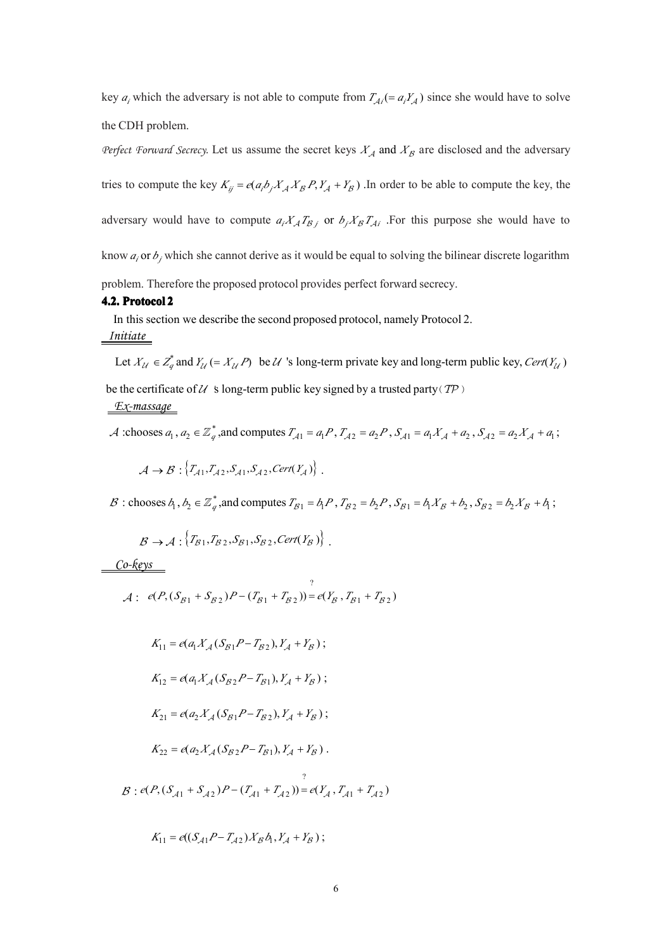key  $a_i$  which the adversary is not able to compute from  $T_{Ai} = a_i Y_A$  since she would have to solve Equality  $a_i$  which the adversary is not able to compute from  $T_{Ai} = a_i Y_A$ <br>
i.e CDH problem.<br> *ierfect Forward Secrecy*. Let us assume the secret keys  $X_A$  and  $X_B$  and  $X_B$  and  $X_B$  and  $X_B$  and  $X_B$  and  $X_B$  and  $X_B$  and the CDH problem.

*Perfect Forward Secrecy.* Let us assume the secret keys  $X_A$  and  $X_B$  are disclosed and the adversary tries to compute the key  $K_{ij} = e(a_i b_j X_A X_B P, Y_A + Y_B)$ . In order to be able to compute the key, the<br>adversary would have to compute  $a_i X_A T_{Bj}$  or  $b_j X_B T_{Ai}$ . For this purpose she would have to<br>know  $a_i$  or  $b_j$  which she cann adversary would have to compute  $a_i X_A T_{Bj}$  or  $b_j X_B T_{Ai}$ . For this purpose she would have to know  $a_i$  or  $b_j$  which she cannot derive as it would be equal to solving the bilinear discrete logarithm problem. Therefore th know  $a_i$  or  $b_j$  which she cannot derive as it would be equal to solving the bilinear discrete logarithm problem. Therefore the proposed protocol provides perfect forward secrecy.

### **4.2. Protocol 2**

In this section we describe the second proposed protocol, namely Protocol 2.

# *Initiate*

Let  $X_{\mathcal{U}} \in Z_q^*$  and  $Y_{\mathcal{U}} \in X_{\mathcal{U}}$  *P*) be  $\mathcal{U}$  's long-term private key and long-term public key, Cert( $Y_{\mathcal{U}}$ ) be the certificate of  $U$  *s* long-term public key signed by a trusted party( $TP$ )

### *Ex-massage*

A :chooses  $a_1, a_2 \in \mathbb{Z}_q^*$ , and computes  $T_{A1} = a_1 P$ ,  $T_{A2} = a_2 P$ ,  $S_{A1} = a_1 X_A + a_2$ ,  $S_{A2} = a_2 X_A + a_1$ ; boses  $a_1$ ,  $a_2 \in \mathbb{Z}_q^*$ , and computes  $T_{A1} = a_1 P$ ,  $T_{A2} = a_2 P$ ,  $S_{A1} = a_1 X_A + a_2$ ,  $S_{A2} = a_2 X_A + a_1$ <br>  $A \rightarrow B : \{T_{A1}, T_{A2}, S_{A1}, S_{A2}, \text{Cert}(Y_A)\}$ .<br>
coses  $b_1, b_2 \in \mathbb{Z}_q^*$ , and computes  $T_{B1} = b_1 P$ ,  $T_{B2} = b_2 P$ ,

 $A \rightarrow B : \{T_{A1}, T_{A2}, S_{A1}, S_{A2}, \text{Cert}(Y_A)\}\$ <br>  $B : \text{chooses } b_1, b_2 \in \mathbb{Z}_q^*$ , and computes  $T_{B1} = b_1$ <br>  $B \rightarrow A : \{T_{B1}, T_{B2}, S_{B1}, S_{B2}, \text{Cert}(Y_B)\}\$ B : chooses  $b_1, b_2 \in \mathbb{Z}_q^*$ , and computes  $T_{B1} = b_1 P$ ,  $T_{B2} = b_2 P$ ,  $S_{B1} = b_1 X_B + b_2$ ,  $S_{B2} = b_2 X_B + b_1$ ; ooses  $b_1$ ,  $b_2 \in \mathbb{Z}_q^*$ , and computes  $T_{B1} = b_1 P$ ,  $T_{B2} = b_2 P$ ,  $S_{B1} = b_1 X_B + b_2$ ,  $S_{B2} = b_2 X_B + b_3$ <br>  $B \rightarrow A : \{T_{B1}, T_{B2}, S_{B1}, S_{B2}, \text{Cert}(Y_B)\}$ .

$$
\mathcal{B} \to \mathcal{A}: \{T_{\mathcal{B}1}, T_{\mathcal{B}2}, S_{\mathcal{B}1}, S_{\mathcal{B}2}, \mathit{Cert}(Y_{\mathcal{B}})\}.
$$

*Co-keys*

$$
\mathcal{B} \to \mathcal{A} : \{T_{\mathcal{B}1}, T_{\mathcal{B}2}, S_{\mathcal{B}1}, S_{\mathcal{B}2}, \text{Cert}(Y_{\mathcal{B}})\}.
$$
  

$$
\underbrace{\text{Co-keys}}_{\mathcal{A} : e(P, (S_{\mathcal{B}1} + S_{\mathcal{B}2})P - (T_{\mathcal{B}1} + T_{\mathcal{B}2}))}^?_{= e(Y_{\mathcal{B}}, T_{\mathcal{B}1} + T_{\mathcal{B}2})}
$$

$$
A: e(P, (S_{\beta 1} + S_{\beta 2})P - (T_{\beta 1} + T_{\beta 2})) = e(Y_{\beta}, T_{\beta 1} + T_{\beta 2})
$$
  
\n
$$
K_{11} = e(a_1 X_A (S_{\beta 1} P - T_{\beta 2}), Y_A + Y_B);
$$
  
\n
$$
K_{12} = e(a_1 X_A (S_{\beta 2} P - T_{\beta 1}), Y_A + Y_B);
$$
  
\n
$$
K_{21} = e(a_2 X_A (S_{\beta 1} P - T_{\beta 2}), Y_A + Y_B);
$$
  
\n
$$
K_{22} = e(a_2 X_A (S_{\beta 2} P - T_{\beta 1}), Y_A + Y_B).
$$
  
\n
$$
B: e(P, (S_{\beta 1} + S_{\beta 2})P - (T_{\beta 1} + T_{\beta 2})) = e(Y_A, T_{\beta 1} + T_{\beta 2})
$$
  
\n
$$
K_{11} = e((S_{\beta 1} P - T_{\beta 2}) X_B b_1, Y_A + Y_B);
$$

$$
K_{11} = e((S_{A1}P - T_{A2})X_B\phi_1, Y_A + Y_B);
$$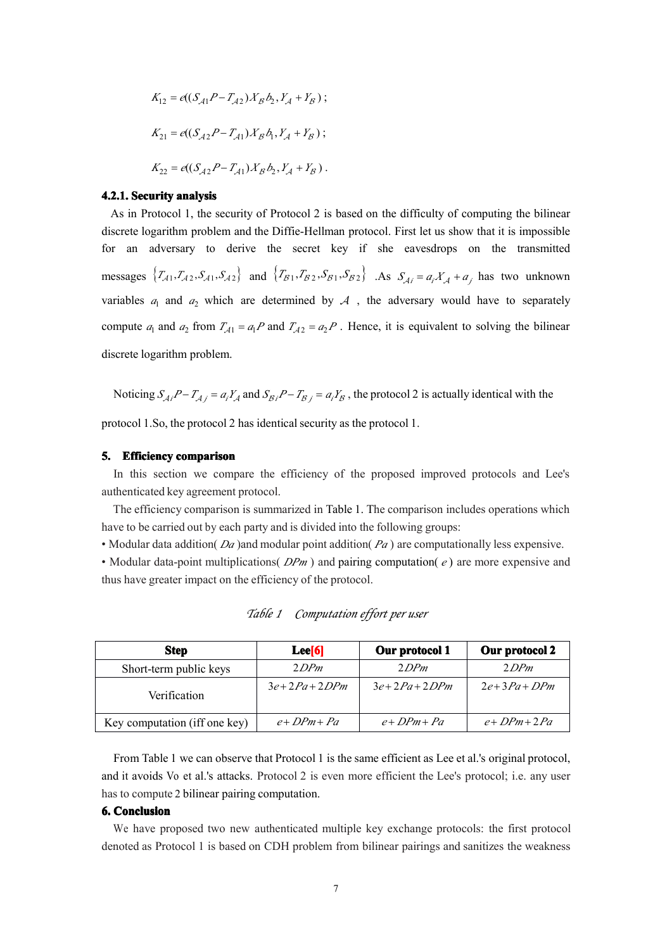$$
K_{12} = e((S_{A1}P - T_{A2})X_Bb_2, Y_A + Y_B);
$$
  
\n
$$
K_{21} = e((S_{A2}P - T_{A1})X_Bb_1, Y_A + Y_B);
$$
  
\n
$$
K_{22} = e((S_{A2}P - T_{A1})X_Bb_2, Y_A + Y_B).
$$
  
\n**2.1. Security analysis**

#### **4.2.1. Security analysis**

**2.1. Security analysis**<br>As in Protocol 1, the security of Protocol 2 is screte logarithm problem and the Diffie-Helli As in Protocol 1, the security of Protocol 2 is based on the difficulty of computing the bilinear discrete logarithm problem and the Diffie-Hellman protocol. First let us show that it is impossible for an adversary to derive the secret key if she eavesdrops on the transmitted messages  $\{T_{A1}, T_{A2}, S_{A1}, S_{A2}\}\$  and  $\{T_{B1}, T_{B2}, S_{B1}, S_{B2}\}\$ . As  $S_{Ai} = a_i X_A + a_j$  has two unknown variables  $a_1$  and  $a_2$  which are determined by  $A$ , the adversary would have to separately compute  $a_1$  and  $a_2$  fro variables  $a_1$  and  $a_2$  which are determined by  $A$ , the adversary would have to separately compute  $a_1$  and  $a_2$  from  $T_{A1} = a_1 P$  and  $T_{A2} = a_2 P$ . Hence, it is equivalent to solving the bilinear i<sub>1</sub> and  $a_2$  from  $T_{A1} = a_1 P$  and  $T_{A2} = a_2 P$ <br>garithm problem.<br>g  $S_{Ai}P - T_{Aj} = a_i Y_A$  and  $S_{Bi}P - T_{Bj} = a_i P_{Aj}$ discrete logarithm problem.

Noticing  $S_{Ai}P - T_{Aj} = a_iY_A$  and  $S_{Bi}P - T_{Bj} = a_iY_B$ , the protocol 2 is actually identical with the<br>protocol 1.So, the protocol 2 has identical security as the protocol 1.<br>5. Efficiency comparison

protocol 1.So, the protocol 2 has identical security as the protocol 1.

### **5. Efficiency comparison comparison**

In this section we compare the efficiency of the proposed improved protocols and Lee's authenticated key agreemen<sup>t</sup> protocol.

The efficiency comparison is summarized in Table 1. The comparison includes operations which have to be carried out by each party and is divided into the following groups:

• Modular data addition( *Da* )and modular point addition( *Pa*) are computationally less expensive.

• Modular data-point multiplications(*DPm*) and pairing computation(*e*) are more expensive and thus have greater impact on the efficiency of the protocol.

| <b>Step</b>                   | Lee[6]            | Our protocol 1    | Our protocol 2      |
|-------------------------------|-------------------|-------------------|---------------------|
| Short-term public keys        | 2DPm              | 2DPm              | 2DPm                |
| Verification                  | $3e+2Pa+2DPm$     | $3e+2Pa+2DPm$     | $2e+3Pa+DPm$        |
| Key computation (iff one key) | $e + D P m + P a$ | $e + D P m + P a$ | $e + D P m + 2 P a$ |

*Table <sup>1</sup> Computation effort per user*

and it avoids Vo et al.'s attacks. Protocol 2 is even more efficient the Lee's protocol; i.e. any user has to compute 2 bilinear pairing computation. **Example 1 e c** *e* **•** *DPm* **+** *Pa* $e$  **+** *DPm* **+** *Pa* $e$  **+** *DPm* **+ 2***Pa* **+** *PPm* **+ 2***Pa* **+** *Prom* **+ 2***Pa* **+** *Prom* **+ 2***Pa* **+** *Prom* **+ 2***Pa* **+** *Prom* **+ 2***Pa* **+** *Prom* **+ 2***Pa* **+** *Prom* **+ 2***Pa* **+** *Promaga* **+** *Promaga*

# **6. Conclusion Conclusion**

We have proposed two new authenticated multiple key exchange protocols: the first protocol denoted as Protocol 1 is based on CDH problem from bilinear pairings and sanitizes the weakness